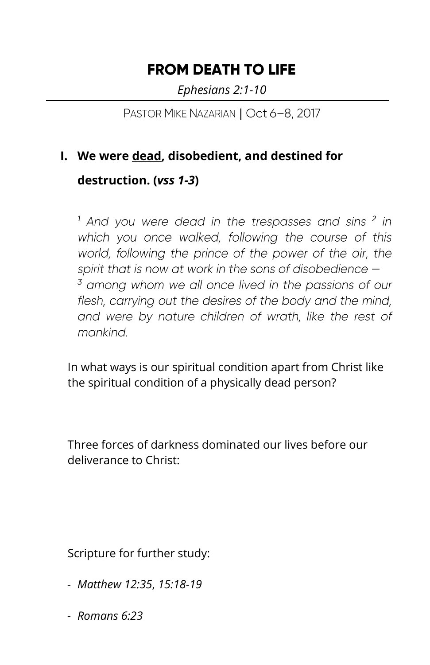## **FROM DEATH TO LIFE**

*Ephesians 2:1-10*

PASTOR MIKE NAZARIAN | Oct 6-8, 2017

## **I. We were dead, disobedient, and destined for**

**destruction. (***vss 1-3***)**

<sup>1</sup> And you were dead in the trespasses and sins <sup>2</sup> in which you once walked, following the course of this world, following the prince of the power of the air, the spirit that is now at work in the sons of disobedience  $-$ <sup>3</sup> among whom we all once lived in the passions of our flesh, carrying out the desires of the body and the mind, and were by nature children of wrath, like the rest of mankind.

In what ways is our spiritual condition apart from Christ like the spiritual condition of a physically dead person?

Three forces of darkness dominated our lives before our deliverance to Christ:

Scripture for further study:

- *Matthew 12:35*, *15:18-19*
- *Romans 6:23*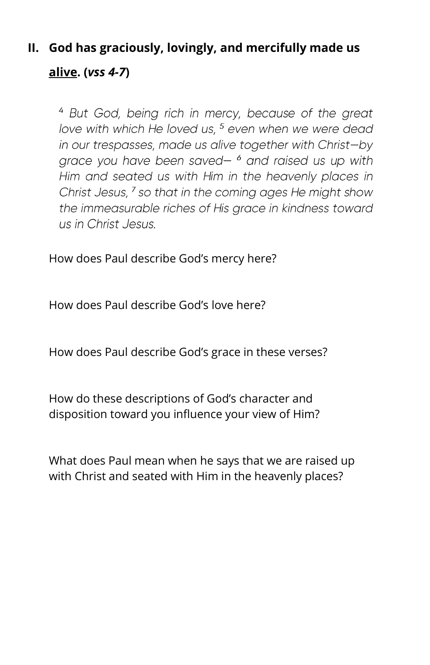## **II. God has graciously, lovingly, and mercifully made us alive. (***vss 4-7***)**

<sup>4</sup> But God, being rich in mercy, because of the great love with which He loved us, <sup>5</sup> even when we were dead in our trespasses, made us alive together with Christ-by grace you have been saved- $6$  and raised us up with Him and seated us with Him in the heavenly places in Christ Jesus, <sup>7</sup> so that in the coming ages He might show the immeasurable riches of His grace in kindness toward us in Christ Jesus.

How does Paul describe God's mercy here?

How does Paul describe God's love here?

How does Paul describe God's grace in these verses?

How do these descriptions of God's character and disposition toward you influence your view of Him?

What does Paul mean when he says that we are raised up with Christ and seated with Him in the heavenly places?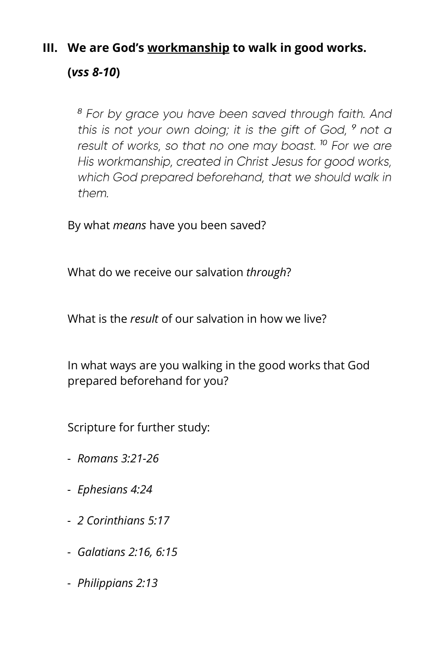## **III. We are God's workmanship to walk in good works.**

**(***vss 8-10***)**

<sup>8</sup> For by grace you have been saved through faith. And this is not your own doing; it is the gift of God, 9 not a result of works, so that no one may boast.<sup>10</sup> For we are His workmanship, created in Christ Jesus for good works, which God prepared beforehand, that we should walk in them.

By what *means* have you been saved?

What do we receive our salvation *through*?

What is the *result* of our salvation in how we live?

In what ways are you walking in the good works that God prepared beforehand for you?

Scripture for further study:

- *Romans 3:21-26*
- *Ephesians 4:24*
- *2 Corinthians 5:17*
- *Galatians 2:16, 6:15*
- *Philippians 2:13*